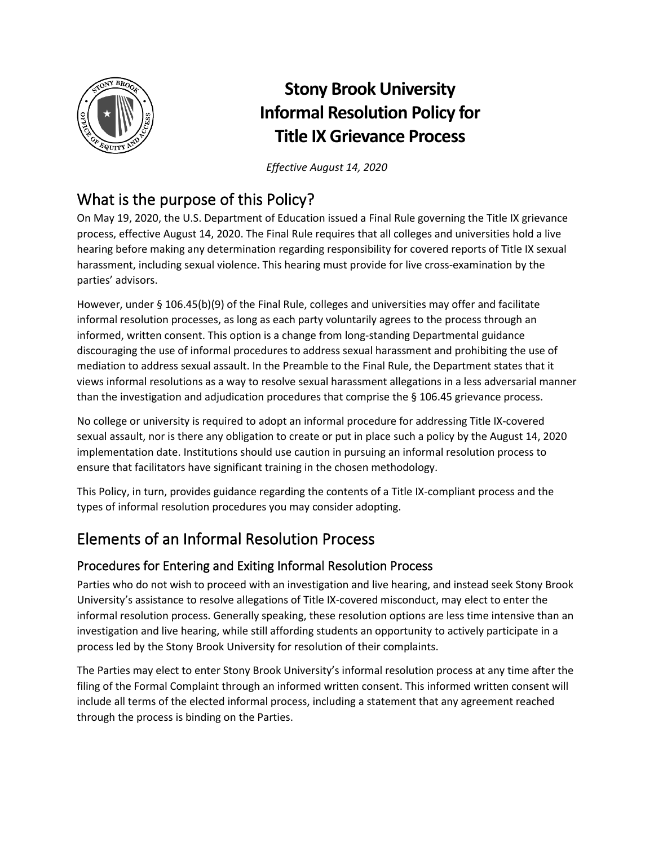

# **Stony Brook University Informal Resolution Policy for Title IX Grievance Process**

*Effective August 14, 2020*

### What is the purpose of this Policy?

On May 19, 2020, the U.S. Department of Education issued a Final Rule governing the Title IX grievance process, effective August 14, 2020. The Final Rule requires that all colleges and universities hold a live hearing before making any determination regarding responsibility for covered reports of Title IX sexual harassment, including sexual violence. This hearing must provide for live cross-examination by the parties' advisors.

However, under § 106.45(b)(9) of the Final Rule, colleges and universities may offer and facilitate informal resolution processes, as long as each party voluntarily agrees to the process through an informed, written consent. This option is a change from long-standing Departmental guidance discouraging the use of informal procedures to address sexual harassment and prohibiting the use of mediation to address sexual assault. In the Preamble to the Final Rule, the Department states that it views informal resolutions as a way to resolve sexual harassment allegations in a less adversarial manner than the investigation and adjudication procedures that comprise the § 106.45 grievance process.

No college or university is required to adopt an informal procedure for addressing Title IX-covered sexual assault, nor is there any obligation to create or put in place such a policy by the August 14, 2020 implementation date. Institutions should use caution in pursuing an informal resolution process to ensure that facilitators have significant training in the chosen methodology.

This Policy, in turn, provides guidance regarding the contents of a Title IX-compliant process and the types of informal resolution procedures you may consider adopting.

# Elements of an Informal Resolution Process

#### Procedures for Entering and Exiting Informal Resolution Process

Parties who do not wish to proceed with an investigation and live hearing, and instead seek Stony Brook University's assistance to resolve allegations of Title IX-covered misconduct, may elect to enter the informal resolution process. Generally speaking, these resolution options are less time intensive than an investigation and live hearing, while still affording students an opportunity to actively participate in a process led by the Stony Brook University for resolution of their complaints.

The Parties may elect to enter Stony Brook University's informal resolution process at any time after the filing of the Formal Complaint through an informed written consent. This informed written consent will include all terms of the elected informal process, including a statement that any agreement reached through the process is binding on the Parties.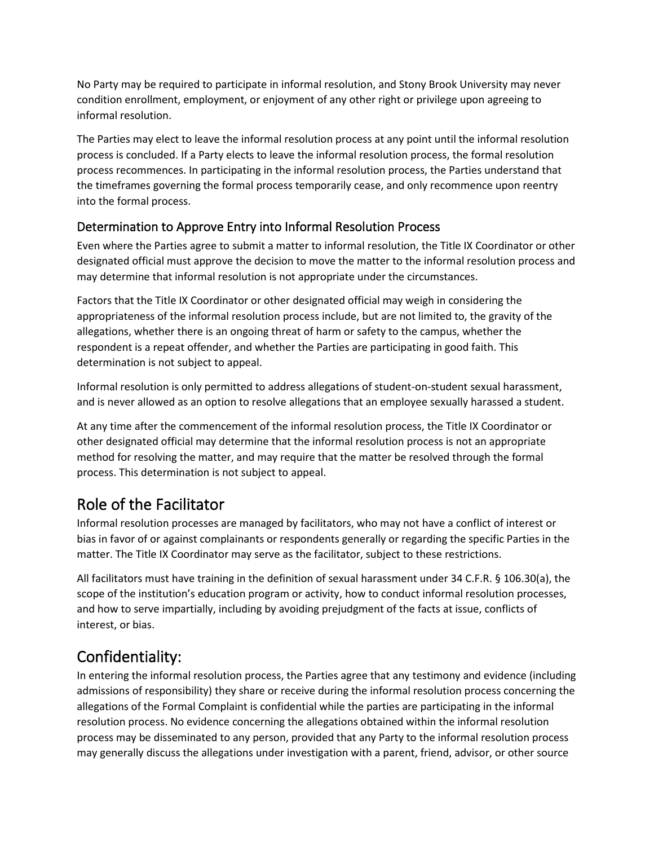No Party may be required to participate in informal resolution, and Stony Brook University may never condition enrollment, employment, or enjoyment of any other right or privilege upon agreeing to informal resolution.

The Parties may elect to leave the informal resolution process at any point until the informal resolution process is concluded. If a Party elects to leave the informal resolution process, the formal resolution process recommences. In participating in the informal resolution process, the Parties understand that the timeframes governing the formal process temporarily cease, and only recommence upon reentry into the formal process.

#### Determination to Approve Entry into Informal Resolution Process

Even where the Parties agree to submit a matter to informal resolution, the Title IX Coordinator or other designated official must approve the decision to move the matter to the informal resolution process and may determine that informal resolution is not appropriate under the circumstances.

Factors that the Title IX Coordinator or other designated official may weigh in considering the appropriateness of the informal resolution process include, but are not limited to, the gravity of the allegations, whether there is an ongoing threat of harm or safety to the campus, whether the respondent is a repeat offender, and whether the Parties are participating in good faith. This determination is not subject to appeal.

Informal resolution is only permitted to address allegations of student-on-student sexual harassment, and is never allowed as an option to resolve allegations that an employee sexually harassed a student.

At any time after the commencement of the informal resolution process, the Title IX Coordinator or other designated official may determine that the informal resolution process is not an appropriate method for resolving the matter, and may require that the matter be resolved through the formal process. This determination is not subject to appeal.

### Role of the Facilitator

Informal resolution processes are managed by facilitators, who may not have a conflict of interest or bias in favor of or against complainants or respondents generally or regarding the specific Parties in the matter. The Title IX Coordinator may serve as the facilitator, subject to these restrictions.

All facilitators must have training in the definition of sexual harassment under 34 C.F.R. § 106.30(a), the scope of the institution's education program or activity, how to conduct informal resolution processes, and how to serve impartially, including by avoiding prejudgment of the facts at issue, conflicts of interest, or bias.

# Confidentiality:

In entering the informal resolution process, the Parties agree that any testimony and evidence (including admissions of responsibility) they share or receive during the informal resolution process concerning the allegations of the Formal Complaint is confidential while the parties are participating in the informal resolution process. No evidence concerning the allegations obtained within the informal resolution process may be disseminated to any person, provided that any Party to the informal resolution process may generally discuss the allegations under investigation with a parent, friend, advisor, or other source